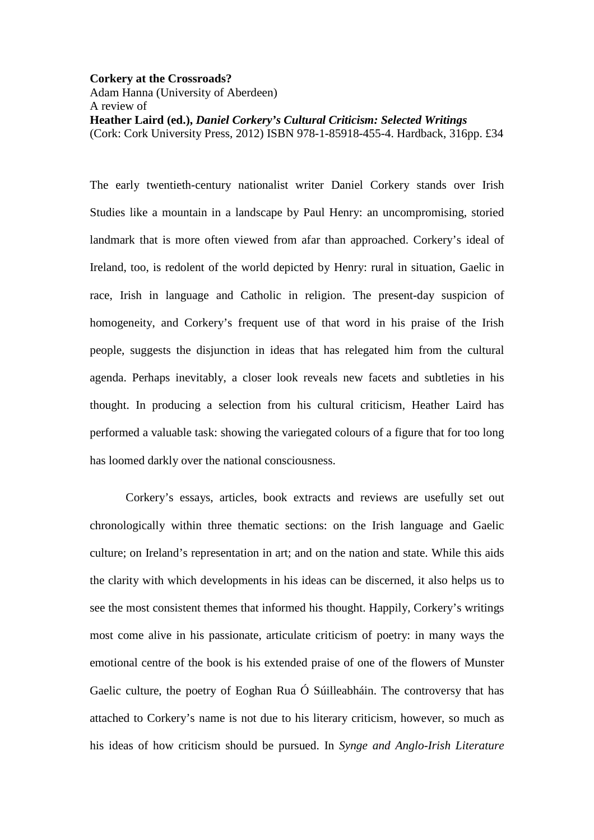## **Corkery at the Crossroads?**

Adam Hanna (University of Aberdeen) A review of **Heather Laird (ed.),** *Daniel Corkery's Cultural Criticism: Selected Writings* (Cork: Cork University Press, 2012) ISBN 978-1-85918-455-4. Hardback, 316pp. £34

The early twentieth-century nationalist writer Daniel Corkery stands over Irish Studies like a mountain in a landscape by Paul Henry: an uncompromising, storied landmark that is more often viewed from afar than approached. Corkery's ideal of Ireland, too, is redolent of the world depicted by Henry: rural in situation, Gaelic in race, Irish in language and Catholic in religion. The present-day suspicion of homogeneity, and Corkery's frequent use of that word in his praise of the Irish people, suggests the disjunction in ideas that has relegated him from the cultural agenda. Perhaps inevitably, a closer look reveals new facets and subtleties in his thought. In producing a selection from his cultural criticism, Heather Laird has performed a valuable task: showing the variegated colours of a figure that for too long has loomed darkly over the national consciousness.

 Corkery's essays, articles, book extracts and reviews are usefully set out chronologically within three thematic sections: on the Irish language and Gaelic culture; on Ireland's representation in art; and on the nation and state. While this aids the clarity with which developments in his ideas can be discerned, it also helps us to see the most consistent themes that informed his thought. Happily, Corkery's writings most come alive in his passionate, articulate criticism of poetry: in many ways the emotional centre of the book is his extended praise of one of the flowers of Munster Gaelic culture, the poetry of Eoghan Rua Ó Súilleabháin. The controversy that has attached to Corkery's name is not due to his literary criticism, however, so much as his ideas of how criticism should be pursued. In *Synge and Anglo-Irish Literature*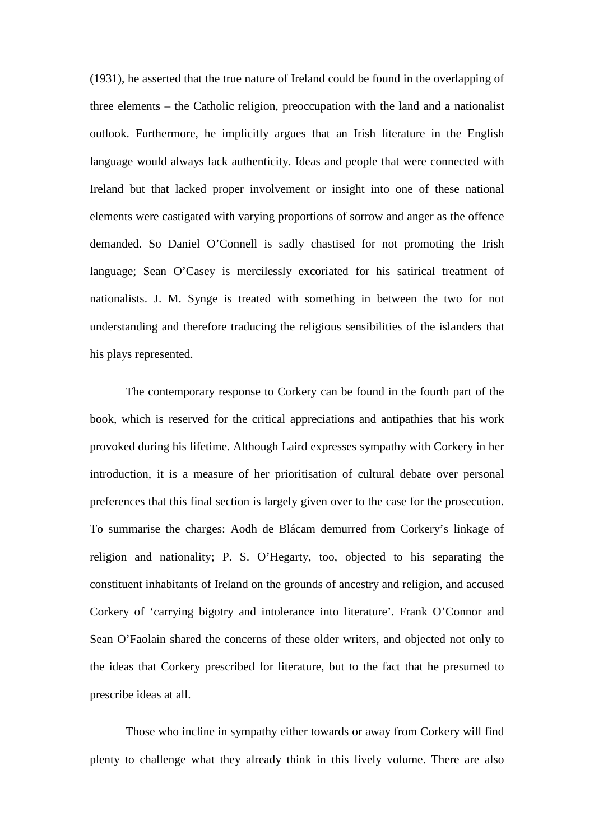(1931), he asserted that the true nature of Ireland could be found in the overlapping of three elements – the Catholic religion, preoccupation with the land and a nationalist outlook. Furthermore, he implicitly argues that an Irish literature in the English language would always lack authenticity. Ideas and people that were connected with Ireland but that lacked proper involvement or insight into one of these national elements were castigated with varying proportions of sorrow and anger as the offence demanded. So Daniel O'Connell is sadly chastised for not promoting the Irish language; Sean O'Casey is mercilessly excoriated for his satirical treatment of nationalists. J. M. Synge is treated with something in between the two for not understanding and therefore traducing the religious sensibilities of the islanders that his plays represented.

 The contemporary response to Corkery can be found in the fourth part of the book, which is reserved for the critical appreciations and antipathies that his work provoked during his lifetime. Although Laird expresses sympathy with Corkery in her introduction, it is a measure of her prioritisation of cultural debate over personal preferences that this final section is largely given over to the case for the prosecution. To summarise the charges: Aodh de Blácam demurred from Corkery's linkage of religion and nationality; P. S. O'Hegarty, too, objected to his separating the constituent inhabitants of Ireland on the grounds of ancestry and religion, and accused Corkery of 'carrying bigotry and intolerance into literature'. Frank O'Connor and Sean O'Faolain shared the concerns of these older writers, and objected not only to the ideas that Corkery prescribed for literature, but to the fact that he presumed to prescribe ideas at all.

 Those who incline in sympathy either towards or away from Corkery will find plenty to challenge what they already think in this lively volume. There are also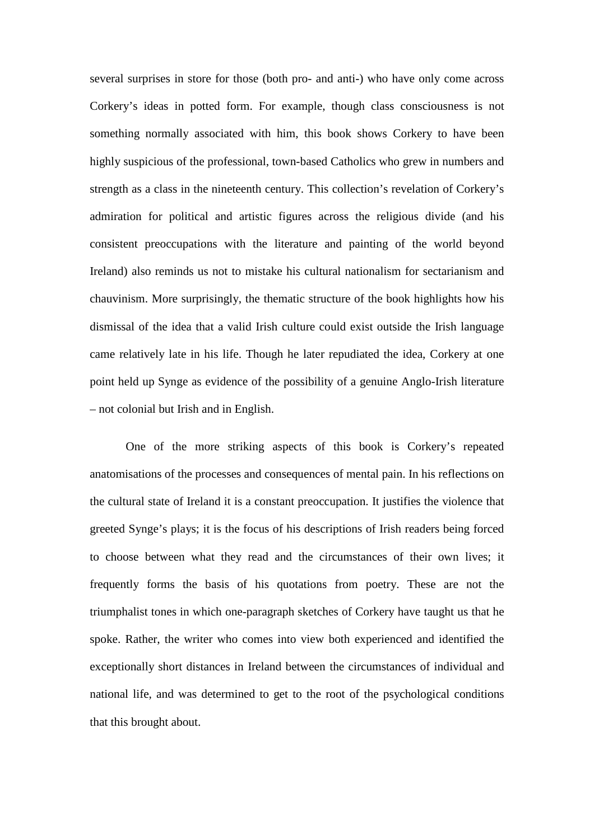several surprises in store for those (both pro- and anti-) who have only come across Corkery's ideas in potted form. For example, though class consciousness is not something normally associated with him, this book shows Corkery to have been highly suspicious of the professional, town-based Catholics who grew in numbers and strength as a class in the nineteenth century. This collection's revelation of Corkery's admiration for political and artistic figures across the religious divide (and his consistent preoccupations with the literature and painting of the world beyond Ireland) also reminds us not to mistake his cultural nationalism for sectarianism and chauvinism. More surprisingly, the thematic structure of the book highlights how his dismissal of the idea that a valid Irish culture could exist outside the Irish language came relatively late in his life. Though he later repudiated the idea, Corkery at one point held up Synge as evidence of the possibility of a genuine Anglo-Irish literature – not colonial but Irish and in English.

 One of the more striking aspects of this book is Corkery's repeated anatomisations of the processes and consequences of mental pain. In his reflections on the cultural state of Ireland it is a constant preoccupation. It justifies the violence that greeted Synge's plays; it is the focus of his descriptions of Irish readers being forced to choose between what they read and the circumstances of their own lives; it frequently forms the basis of his quotations from poetry. These are not the triumphalist tones in which one-paragraph sketches of Corkery have taught us that he spoke. Rather, the writer who comes into view both experienced and identified the exceptionally short distances in Ireland between the circumstances of individual and national life, and was determined to get to the root of the psychological conditions that this brought about.